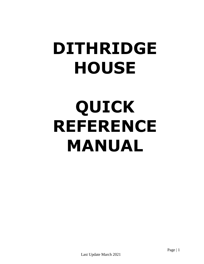# **DITHRIDGE HOUSE**

# **QUICK REFERENCE MANUAL**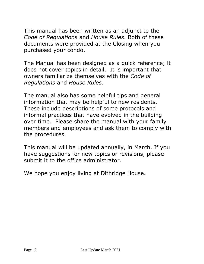This manual has been written as an adjunct to the *Code of Regulations* and *House Rules*. Both of these documents were provided at the Closing when you purchased your condo.

The Manual has been designed as a quick reference; it does not cover topics in detail. It is important that owners familiarize themselves with the *Code of Regulations* and *House Rules*.

The manual also has some helpful tips and general information that may be helpful to new residents. These include descriptions of some protocols and informal practices that have evolved in the building over time. Please share the manual with your family members and employees and ask them to comply with the procedures.

This manual will be updated annually, in March. If you have suggestions for new topics or revisions, please submit it to the office administrator.

We hope you enjoy living at Dithridge House.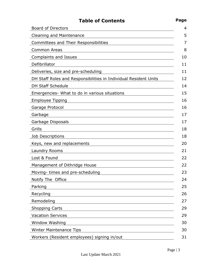| <b>Table of Contents</b>                                         | Page |
|------------------------------------------------------------------|------|
| <b>Board of Directors</b>                                        |      |
| <b>Cleaning and Maintenance</b>                                  |      |
| <b>Committees and Their Responsibilities</b>                     |      |
| <b>Common Areas</b>                                              |      |
| Complaints and Issues                                            |      |
| Defibrillator                                                    |      |
| Deliveries, size and pre-scheduling                              |      |
| DH Staff Roles and Responsibilities in Individual Resident Units |      |
| <b>DH Staff Schedule</b>                                         |      |
| Emergencies- What to do in various situations                    |      |
| <b>Employee Tipping</b>                                          |      |
| Garage Protocol                                                  |      |
| Garbage                                                          |      |
| Garbage Disposals                                                |      |
| Grills                                                           |      |
| Job Descriptions                                                 |      |
| Keys, new and replacements                                       |      |
| Laundry Rooms                                                    |      |
| Lost & Found                                                     |      |
| Management of Dithridge House                                    |      |
| Moving- times and pre-scheduling                                 |      |
| Notify The Office                                                |      |
| Parking                                                          |      |
| Recycling                                                        |      |
| Remodeling                                                       |      |
| <b>Shopping Carts</b>                                            |      |
| <b>Vacation Services</b>                                         |      |
| Window Washing                                                   |      |
| <b>Winter Maintenance Tips</b>                                   |      |
| Workers (Resident employees) signing in/out                      |      |

Last Update March 2021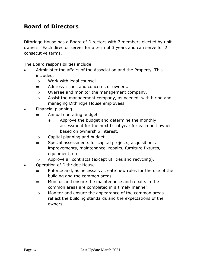#### **Board of Directors**

Dithridge House has a Board of Directors with 7 members elected by unit owners. Each director serves for a term of 3 years and can serve for 2 consecutive terms.

The Board responsibilities include:

- Administer the affairs of the Association and the Property. This includes:
	- $\Rightarrow$  Work with legal counsel.
	- $\Rightarrow$  Address issues and concerns of owners.
	- $\Rightarrow$  Oversee and monitor the management company.
	- $\Rightarrow$  Assist the management company, as needed, with hiring and managing Dithridge House employees.
- Financial planning
	- $\Rightarrow$  Annual operating budget
		- $\bullet$  Approve the budget and determine the monthly assessment for the next fiscal year for each unit owner based on ownership interest.
	- $\Rightarrow$  Capital planning and budget
	- $\Rightarrow$  Special assessments for capital projects, acquisitions, improvements, maintenance, repairs, furniture fixtures, equipment, etc.
	- $\Rightarrow$  Approve all contracts (except utilities and recycling).
- Operation of Dithridge House
	- $\Rightarrow$  Enforce and, as necessary, create new rules for the use of the building and the common areas.
	- $\Rightarrow$  Monitor and ensure the maintenance and repairs in the common areas are completed in a timely manner.
	- $\Rightarrow$  Monitor and ensure the appearance of the common areas reflect the building standards and the expectations of the owners.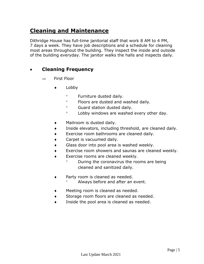#### **Cleaning and Maintenance**

Dithridge House has full-time janitorial staff that work 8 AM to 4 PM, 7 days a week. They have job descriptions and a schedule for cleaning most areas throughout the building. They inspect the inside and outside of the building everyday. The janitor walks the halls and inspects daily.

#### **Cleaning Frequency**

- $\Rightarrow$  First Floor
	- $\bullet$  Lobby
		- Furniture dusted daily.
		- Floors are dusted and washed daily.
		- <sup>o</sup> Guard station dusted daily.
		- Lobby windows are washed every other day.
	- Mailroom is dusted daily.
	- Inside elevators, including threshold, are cleaned daily.
	- Exercise room bathrooms are cleaned daily.
	- Carpet is vacuumed daily.
	- Glass door into pool area is washed weekly.
	- Exercise room showers and saunas are cleaned weekly.
	- **Exercise rooms are cleaned weekly.** 
		- <sup>o</sup> During the coronavirus the rooms are being cleaned and sanitized daily.
	- Party room is cleaned as needed.
		- Always before and after an event.
	- Meeting room is cleaned as needed.
	- **Storage room floors are cleaned as needed.**
	- $\bullet$  Inside the pool area is cleaned as needed.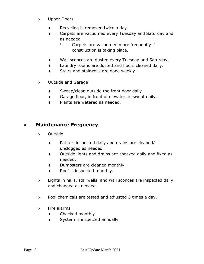- $\Rightarrow$  Upper Floors
	- Recycling is removed twice a day.
	- Carpets are vacuumed every Tuesday and Saturday and as needed.
		- Carpets are vacuumed more frequently if construction is taking place.
	- Wall sconces are dusted every Tuesday and Saturday.
	- Laundry rooms are dusted and floors cleaned daily.
	- **Stairs and stairwells are done weekly.**
- $\Rightarrow$  Outside and Garage
	- Sweep/clean outside the front door daily.
	- Garage floor, in front of elevator, is swept daily.
	- ◆ Plants are watered as needed.

#### **Maintenance Frequency**

- $\Rightarrow$  Outside
	- Patio is inspected daily and drains are cleaned/ unclogged as needed.
	- Outside lights and drains are checked daily and fixed as needed.
	- Dumpsters are cleaned monthly
	- Roof is inspected monthly.
- $\Rightarrow$  Lights in halls, stairwells, and wall sconces are inspected daily and changed as needed.
- $\Rightarrow$  Pool chemicals are tested and adjusted 3 times a day.
- $\Rightarrow$  Fire alarms
	- Checked monthly.
	- System is inspected annually.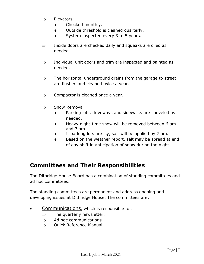- $\Rightarrow$  Elevators
	- ◆ Checked monthly.
	- Outside threshold is cleaned quarterly.
	- System inspected every 3 to 5 years.
- $\Rightarrow$  Inside doors are checked daily and squeaks are oiled as needed.
- $\Rightarrow$  Individual unit doors and trim are inspected and painted as needed.
- $\Rightarrow$  The horizontal underground drains from the garage to street are flushed and cleaned twice a year.
- $\Rightarrow$  Compactor is cleaned once a year.
- $\Rightarrow$  Snow Removal
	- Parking lots, driveways and sidewalks are shoveled as needed.
	- $\bullet$  Heavy night-time snow will be removed between 6 am and 7 am.
	- If parking lots are icy, salt will be applied by 7 am.
	- Based on the weather report, salt may be spread at end of day shift in anticipation of snow during the night.

#### **Committees and Their Responsibilities**

The Dithridge House Board has a combination of standing committees and ad hoc committees.

The standing committees are permanent and address ongoing and developing issues at Dithridge House. The committees are:

- Communications, which is responsible for:
	- $\Rightarrow$  The quarterly newsletter.
	- $\Rightarrow$  Ad hoc communications.
	- $\Rightarrow$  Quick Reference Manual.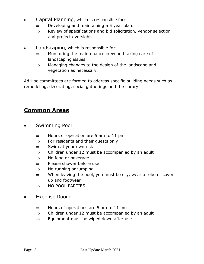- Capital Planning, which is responsible for:
	- $\Rightarrow$  Developing and maintaining a 5 year plan.
	- $\Rightarrow$  Review of specifications and bid solicitation, vendor selection and project oversight.
- Landscaping, which is responsible for:
	- $\Rightarrow$  Monitoring the maintenance crew and taking care of landscaping issues.
	- $\Rightarrow$  Managing changes to the design of the landscape and vegetation as necessary.

Ad Hoc committees are formed to address specific building needs such as remodeling, decorating, social gatherings and the library.

#### **Common Areas**

- Swimming Pool
	- $\Rightarrow$  Hours of operation are 5 am to 11 pm
	- $\Rightarrow$  For residents and their quests only
	- $\Rightarrow$  Swim at your own risk
	- $\Rightarrow$  Children under 12 must be accompanied by an adult
	- $\Rightarrow$  No food or beverage
	- $\Rightarrow$  Please shower before use
	- $\Rightarrow$  No running or jumping
	- $\Rightarrow$  When leaving the pool, you must be dry, wear a robe or cover up and footwear
	- $\Rightarrow$  NO POOL PARTIES
- Exercise Room
	- $\Rightarrow$  Hours of operations are 5 am to 11 pm
	- $\Rightarrow$  Children under 12 must be accompanied by an adult
	- $\Rightarrow$  Equipment must be wiped down after use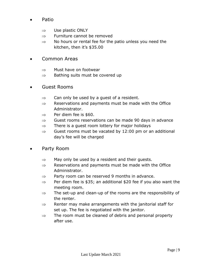- Patio
	- $\Rightarrow$  Use plastic ONLY
	- $\Rightarrow$  Furniture cannot be removed
	- $\Rightarrow$  No hours or rental fee for the patio unless you need the kitchen, then it's \$35.00
- Common Areas
	- $\Rightarrow$  Must have on footwear
	- $\Rightarrow$  Bathing suits must be covered up
- Guest Rooms
	- $\Rightarrow$  Can only be used by a guest of a resident.
	- $\Rightarrow$  Reservations and payments must be made with the Office Administrator.
	- $\Rightarrow$  Per diem fee is \$60.
	- $\Rightarrow$  Guest rooms reservations can be made 90 days in advance
	- $\Rightarrow$  There is a guest room lottery for major holidays
	- $\Rightarrow$  Guest rooms must be vacated by 12:00 pm or an additional day's fee will be charged
- Party Room
	- $\Rightarrow$  May only be used by a resident and their quests.
	- $\Rightarrow$  Reservations and payments must be made with the Office Administrator.
	- $\Rightarrow$  Party room can be reserved 9 months in advance.
	- $\Rightarrow$  Per diem fee is \$35; an additional \$20 fee if you also want the meeting room.
	- $\Rightarrow$  The set-up and clean-up of the rooms are the responsibility of the renter.
	- $\Rightarrow$  Renter may make arrangements with the janitorial staff for set up. The fee is negotiated with the janitor.
	- $\Rightarrow$  The room must be cleaned of debris and personal property after use.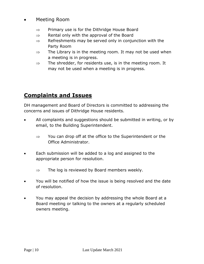#### Meeting Room

- $\Rightarrow$  Primary use is for the Dithridge House Board
- $\Rightarrow$  Rental only with the approval of the Board
- $\Rightarrow$  Refreshments may be served only in conjunction with the Party Room
- $\Rightarrow$  The Library is in the meeting room. It may not be used when a meeting is in progress.
- $\Rightarrow$  The shredder, for residents use, is in the meeting room. It may not be used when a meeting is in progress.

### **Complaints and Issues**

DH management and Board of Directors is committed to addressing the concerns and issues of Dithridge House residents.

- All complaints and suggestions should be submitted in writing, or by email, to the Building Superintendent.
	- $\Rightarrow$  You can drop off at the office to the Superintendent or the Office Administrator.
- Each submission will be added to a log and assigned to the appropriate person for resolution.
	- $\Rightarrow$  The log is reviewed by Board members weekly.
- You will be notified of how the issue is being resolved and the date of resolution.
- You may appeal the decision by addressing the whole Board at a Board meeting or talking to the owners at a regularly scheduled owners meeting.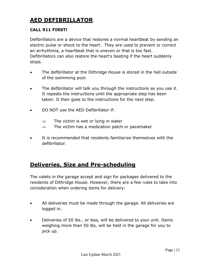# **AED DEFIBRILLATOR**

#### **CALL 911 FIRST!**

Defibrillators are a device that restores a normal heartbeat by sending an electric pulse or shock to the heart. They are used to prevent or correct an arrhythmia, a heartbeat that is uneven or that is too fast. Defibrillators can also restore the heart's beating if the heart suddenly stops.

- The defibrillator at the Dithridge House is stored in the hall outside of the swimming pool.
- The defibrillator will talk you through the instructions as you use it. It repeats the instructions until the appropriate step has been taken. It then goes to the instructions for the next step.
- DO NOT use the AED Defibrillator if:
	- $\Rightarrow$  The victim is wet or lying in water
	- $\Rightarrow$  The victim has a medication patch or pacemaker
- It is recommended that residents familiarize themselves with the defibrillator.

#### **Deliveries, Size and Pre-scheduling**

The valets in the garage accept and sign for packages delivered to the residents of Dithridge House. However, there are a few rules to take into consideration when ordering items for delivery:

- All deliveries must be made through the garage. All deliveries are logged in.
- Deliveries of 50 lbs., or less, will be delivered to your unit. Items weighing more than 50 lbs. will be held in the garage for you to pick up.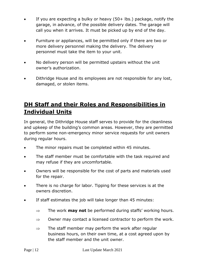- If you are expecting a bulky or heavy (50+ lbs.) package, notify the garage, in advance, of the possible delivery dates. The garage will call you when it arrives. It must be picked up by end of the day.
- Furniture or appliances, will be permitted only if there are two or more delivery personnel making the delivery. The delivery personnel must take the item to your unit.
- No delivery person will be permitted upstairs without the unit owner's authorization.
- Dithridge House and its employees are not responsible for any lost, damaged, or stolen items.

# **DH Staff and their Roles and Responsibilities in Individual Units**

In general, the Dithridge House staff serves to provide for the cleanliness and upkeep of the building's common areas. However, they are permitted to perform some non-emergency minor service requests for unit owners during regular hours.

- The minor repairs must be completed within 45 minutes.
- The staff member must be comfortable with the task required and may refuse if they are uncomfortable.
- Owners will be responsible for the cost of parts and materials used for the repair.
- There is no charge for labor. Tipping for these services is at the owners discretion.
- If staff estimates the job will take longer than 45 minutes:
	- $\Rightarrow$  The work **may not** be performed during staffs' working hours.
	- $\Rightarrow$  Owner may contact a licensed contractor to perform the work.
	- $\Rightarrow$  The staff member may perform the work after regular business hours, on their own time, at a cost agreed upon by the staff member and the unit owner.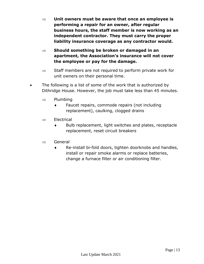- **Unit owners must be aware that once an employee is performing a repair for an owner, after regular business hours, the staff member is now working as an independent contractor. They must carry the proper liability insurance coverage as any contractor would.**
- **Should something be broken or damaged in an apartment, the Association's insurance will not cover the employee or pay for the damage.**
- $\Rightarrow$  Staff members are not required to perform private work for unit owners on their personal time.
- The following is a list of some of the work that is authorized by Dithridge House. However, the job must take less than 45 minutes.
	- $\Rightarrow$  Plumbing
		- Faucet repairs, commode repairs (not including replacement), caulking, clogged drains
	- $\Rightarrow$  Electrical
		- $\bullet$  Bulb replacement, light switches and plates, receptacle replacement, reset circuit breakers
	- $\Rightarrow$  General
		- Re-install bi-fold doors, tighten doorknobs and handles, install or repair smoke alarms or replace batteries, change a furnace filter or air conditioning filter.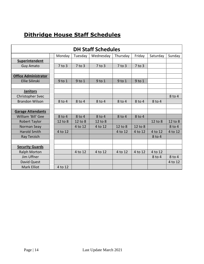# **Dithridge House Staff Schedules**

| <b>DH Staff Schedules</b>   |            |            |            |            |            |          |         |  |
|-----------------------------|------------|------------|------------|------------|------------|----------|---------|--|
|                             | Monday     | Tuesday    | Wednesday  | Thursday   | Friday     | Saturday | Sunday  |  |
| <b>Superintendent</b>       |            |            |            |            |            |          |         |  |
| <b>Guy Amato</b>            | $7$ to $3$ | $7$ to $3$ | $7$ to $3$ | $7$ to $3$ | $7$ to $3$ |          |         |  |
|                             |            |            |            |            |            |          |         |  |
| <b>Office Administrator</b> |            |            |            |            |            |          |         |  |
| Ellie Silinski              | $9$ to $1$ | $9$ to $1$ | $9$ to $1$ | $9$ to $1$ | $9$ to $1$ |          |         |  |
|                             |            |            |            |            |            |          |         |  |
| <b>Janitors</b>             |            |            |            |            |            |          |         |  |
| Christopher Svec            |            |            |            |            |            |          | 8 to 4  |  |
| <b>Brandon Wilson</b>       | 8 to 4     | 8 to 4     | $8$ to 4   | 8 to 4     | 8 to 4     | 8 to 4   |         |  |
|                             |            |            |            |            |            |          |         |  |
| <b>Garage Attendants</b>    |            |            |            |            |            |          |         |  |
| William 'Bill' Gee          | 8 to 4     | 8 to 4     | 8 to 4     | 8 to 4     | 8 to 4     |          |         |  |
| <b>Robert Taylor</b>        | 12 to 8    | 12 to 8    | 12 to 8    |            |            | 12 to 8  | 12 to 8 |  |
| Norman Seay                 |            | 4 to 12    | 4 to 12    | 12 to 8    | 12 to 8    |          | 8 to 4  |  |
| <b>Harold Smith</b>         | 4 to 12    |            |            | 4 to 12    | 4 to 12    | 4 to 12  | 4 to 12 |  |
| Ray Terzich                 |            |            |            |            |            | 8 to 4   |         |  |
|                             |            |            |            |            |            |          |         |  |
| <b>Security Guards</b>      |            |            |            |            |            |          |         |  |
| <b>Ralph Morton</b>         |            | 4 to 12    | 4 to 12    | 4 to 12    | 4 to 12    | 4 to 12  |         |  |
| Jim Uffner                  |            |            |            |            |            | 8 to 4   | 8 to 4  |  |
| David Quest                 |            |            |            |            |            |          | 4 to 12 |  |
| <b>Mark Elliot</b>          | 4 to 12    |            |            |            |            |          |         |  |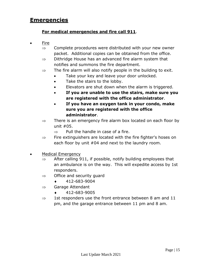#### **Emergencies**

#### **For medical emergencies and fire call 911**.

- Fire
	- $\Rightarrow$  Complete procedures were distributed with your new owner packet. Additional copies can be obtained from the office.
	- $\Rightarrow$  Dithridge House has an advanced fire alarm system that notifies and summons the fire department.
	- $\Rightarrow$  The fire alarm will also notify people in the building to exit.
		- Take your key and leave your door unlocked.
		- Take the stairs to the lobby.
		- **Elevators are shut down when the alarm is triggered.**
		- **If you are unable to use the stairs, make sure you are registered with the office administrator**.
		- **If you have an oxygen tank in your condo, make sure you are registered with the office administrator**.
	- $\Rightarrow$  There is an emergency fire alarm box located on each floor by unit #05.
		- $\Rightarrow$  Pull the handle in case of a fire.
	- $\Rightarrow$  Fire extinguishers are located with the fire fighter's hoses on each floor by unit #04 and next to the laundry room.
- Medical Emergency
	- $\Rightarrow$  After calling 911, if possible, notify building employees that an ambulance is on the way. This will expedite access by 1st responders.
	- $\Rightarrow$  Office and security quard
		- $\bullet$  412-683-9004
	- $\Rightarrow$  Garage Attendant
		- $\star$  412-683-9005
	- $\Rightarrow$  1st responders use the front entrance between 8 am and 11 pm, and the garage entrance between 11 pm and 8 am.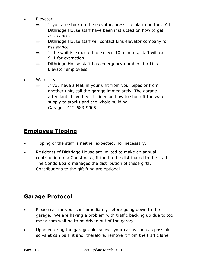- Elevator
	- $\Rightarrow$  If you are stuck on the elevator, press the alarm button. All Dithridge House staff have been instructed on how to get assistance.
	- $\Rightarrow$  Dithridge House staff will contact Lins elevator company for assistance.
	- $\Rightarrow$  If the wait is expected to exceed 10 minutes, staff will call 911 for extraction.
	- $\Rightarrow$  Dithridge House staff has emergency numbers for Lins Elevator employees.
- Water Leak
	- $\Rightarrow$  If you have a leak in your unit from your pipes or from another unit, call the garage immediately. The garage attendants have been trained on how to shut off the water supply to stacks and the whole building. Garage - 412-683-9005.

### **Employee Tipping**

- Tipping of the staff is neither expected, nor necessary.
- Residents of Dithridge House are invited to make an annual contribution to a Christmas gift fund to be distributed to the staff. The Condo Board manages the distribution of these gifts. Contributions to the gift fund are optional.

#### **Garage Protocol**

- Please call for your car immediately before going down to the garage. We are having a problem with traffic backing up due to too many cars waiting to be driven out of the garage.
- Upon entering the garage, please exit your car as soon as possible so valet can park it and, therefore, remove it from the traffic lane.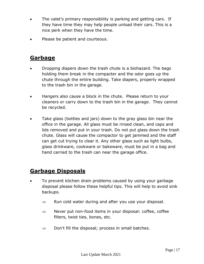- The valet's primary responsibility is parking and getting cars. If they have time they may help people unload their cars. This is a nice perk when they have the time.
- Please be patient and courteous.

#### **Garbage**

- Dropping diapers down the trash chute is a biohazard. The bags holding them break in the compacter and the odor goes up the chute through the entire building. Take diapers, properly wrapped to the trash bin in the garage.
- Hangers also cause a block in the chute. Please return to your cleaners or carry down to the trash bin in the garage. They cannot be recycled.
- Take glass (bottles and jars) down to the gray glass bin near the office in the garage. All glass must be rinsed clean, and caps and lids removed and put in your trash. Do not put glass down the trash chute. Glass will cause the compactor to get jammed and the staff can get cut trying to clear it. Any other glass such as light bulbs, glass drinkware, cookware or bakeware, must be put in a bag and hand carried to the trash can near the garage office.

#### **Garbage Disposals**

- To prevent kitchen drain problems caused by using your garbage disposal please follow these helpful tips. This will help to avoid sink backups.
	- $\Rightarrow$  Run cold water during and after you use your disposal.
	- $\Rightarrow$  Never put non-food items in your disposal: coffee, coffee filters, twist ties, bones, etc.
	- $\Rightarrow$  Don't fill the disposal; process in small batches.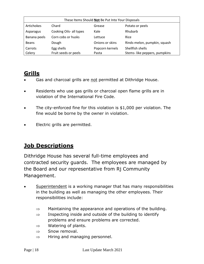| These Items Should Not Be Put Into Your Disposals |                         |                 |                              |  |  |  |  |
|---------------------------------------------------|-------------------------|-----------------|------------------------------|--|--|--|--|
| Artichokes                                        | Chard                   | Grease          | Potato or peels              |  |  |  |  |
| Asparagus                                         | Cooking Oils- all types | Kale            | Rhubarb                      |  |  |  |  |
| Banana peels                                      | Corn cobs or husks      | Lettuce         | Rice                         |  |  |  |  |
| <b>Beans</b>                                      | Dough                   | Onions or skins | Rinds-melon, pumpkin, squash |  |  |  |  |
| Carrots                                           | Egg shells              | Popcorn kernels | Shellfish shells             |  |  |  |  |
| Celery                                            | Fruit seeds or peels    | Pasta           | Stems-like peppers, pumpkins |  |  |  |  |

# **Grills**

- Gas and charcoal grills are not permitted at Dithridge House.
- Residents who use gas grills or charcoal open flame grills are in violation of the International Fire Code.
- The city-enforced fine for this violation is \$1,000 per violation. The fine would be borne by the owner in violation.
- Electric grills are permitted.

### **Job Descriptions**

Dithridge House has several full-time employees and contracted security guards. The employees are managed by the Board and our representative from Rj Community Management.

- Superintendent is a working manager that has many responsibilities in the building as well as managing the other employees. Their responsibilities include:
	- $\Rightarrow$  Maintaining the appearance and operations of the building.
	- $\Rightarrow$  Inspecting inside and outside of the building to identify problems and ensure problems are corrected.
	- $\Rightarrow$  Watering of plants.
	- $\Rightarrow$  Snow removal.
	- $\Rightarrow$  Hiring and managing personnel.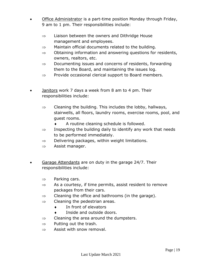- Office Administrator is a part-time position Monday through Friday, 9 am to 1 pm. Their responsibilities include:
	- $\Rightarrow$  Liaison between the owners and Dithridge House management and employees.
	- $\Rightarrow$  Maintain official documents related to the building.
	- $\Rightarrow$  Obtaining information and answering questions for residents, owners, realtors, etc.
	- $\Rightarrow$  Documenting issues and concerns of residents, forwarding them to the Board, and maintaining the issues log.
	- $\Rightarrow$  Provide occasional clerical support to Board members.
- Janitors work 7 days a week from 8 am to 4 pm. Their responsibilities include:
	- $\Rightarrow$  Cleaning the building. This includes the lobby, hallways, stairwells, all floors, laundry rooms, exercise rooms, pool, and guest rooms.
		- A routine cleaning schedule is followed.
	- $\Rightarrow$  Inspecting the building daily to identify any work that needs to be performed immediately.
	- $\Rightarrow$  Delivering packages, within weight limitations.
	- $\Rightarrow$  Assist manager.
- Garage Attendants are on duty in the garage 24/7. Their responsibilities include:
	- $\Rightarrow$  Parking cars.
	- $\Rightarrow$  As a courtesy, if time permits, assist resident to remove packages from their cars.
	- $\Rightarrow$  Cleaning the office and bathrooms (in the garage).
	- $\Rightarrow$  Cleaning the pedestrian areas.
		- In front of elevators
		- Inside and outside doors.
	- $\Rightarrow$  Cleaning the area around the dumpsters.
	- $\Rightarrow$  Putting out the trash.
	- $\Rightarrow$  Assist with snow removal.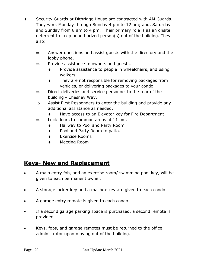- Security Guards at Dithridge House are contracted with AM Guards. They work Monday through Sunday 4 pm to 12 am; and, Saturday and Sunday from 8 am to 4 pm. Their primary role is as an onsite deterrent to keep unauthorized person(s) out of the building. They also:
	- $\Rightarrow$  Answer questions and assist guests with the directory and the lobby phone.
	- $\Rightarrow$  Provide assistance to owners and quests.
		- **•** Provide assistance to people in wheelchairs, and using walkers.
		- They are not responsible for removing packages from vehicles, or delivering packages to your condo.
	- $\Rightarrow$  Direct deliveries and service personnel to the rear of the building - Chesney Way.
	- $\Rightarrow$  Assist First Responders to enter the building and provide any additional assistance as needed.
		- ◆ Have access to an Elevator key for Fire Department
	- $\Rightarrow$  Lock doors to common areas at 11 pm.
		- Hallway to Pool and Party Room.
		- ◆ Pool and Party Room to patio.
		- Exercise Rooms
		- Meeting Room

#### **Keys- New and Replacement**

- A main entry fob, and an exercise room/ swimming pool key, will be given to each permanent owner.
- A storage locker key and a mailbox key are given to each condo.
- A garage entry remote is given to each condo.
- If a second garage parking space is purchased, a second remote is provided.
- Keys, fobs, and garage remotes must be returned to the office administrator upon moving out of the building.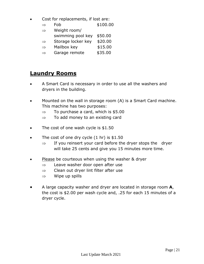- Cost for replacements, if lost are:
	- $\Rightarrow$  Fob \$100.00

| $\Rightarrow$ | Weight room/              |         |
|---------------|---------------------------|---------|
|               | swimming pool key \$50.00 |         |
| $\Rightarrow$ | Storage locker key        | \$20.00 |
| $\Rightarrow$ | Mailbox key               | \$15.00 |

 $\Rightarrow$  Garage remote \$35.00

#### **Laundry Rooms**

- A Smart Card is necessary in order to use all the washers and dryers in the building.
- Mounted on the wall in storage room (A) is a Smart Card machine. This machine has two purposes:
	- $\Rightarrow$  To purchase a card, which is \$5.00
	- $\Rightarrow$  To add money to an existing card
- The cost of one wash cycle is \$1.50
- $\bullet$  The cost of one dry cycle  $(1 \text{ hr})$  is \$1.50
	- $\Rightarrow$  If you reinsert your card before the dryer stops the dryer will take 25 cents and give you 15 minutes more time.
- Please be courteous when using the washer & dryer
	- $\Rightarrow$  Leave washer door open after use
	- $\Rightarrow$  Clean out dryer lint filter after use
	- $\Rightarrow$  Wipe up spills
- A large capacity washer and dryer are located in storage room **A**, the cost is \$2.00 per wash cycle and, .25 for each 15 minutes of a dryer cycle.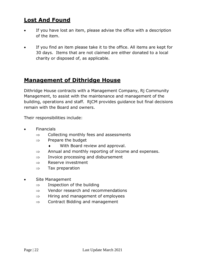#### **Lost And Found**

- If you have lost an item, please advise the office with a description of the item.
- If you find an item please take it to the office. All items are kept for 30 days. Items that are not claimed are either donated to a local charity or disposed of, as applicable.

#### **Management of Dithridge House**

Dithridge House contracts with a Management Company, Rj Community Management, to assist with the maintenance and management of the building, operations and staff. RjCM provides guidance but final decisions remain with the Board and owners.

Their responsibilities include:

- **•** Financials
	- $\Rightarrow$  Collecting monthly fees and assessments
	- $\Rightarrow$  Prepare the budget
		- With Board review and approval.
	- $\Rightarrow$  Annual and monthly reporting of income and expenses.
	- $\Rightarrow$  Invoice processing and disbursement
	- $\Rightarrow$  Reserve investment
	- $\Rightarrow$  Tax preparation
- Site Management
	- $\Rightarrow$  Inspection of the building
	- $\Rightarrow$  Vendor research and recommendations
	- $\Rightarrow$  Hiring and management of employees
	- $\Rightarrow$  Contract Bidding and management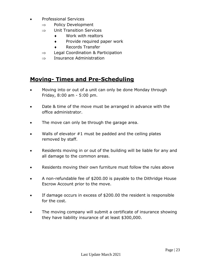- Professional Services
	- $\Rightarrow$  Policy Development
	- $\Rightarrow$  Unit Transition Services
		- Work with realtors
		- **The Provide required paper work**
		- Records Transfer
	- $\Rightarrow$  Legal Coordination & Participation
	- $\Rightarrow$  Insurance Administration

#### **Moving- Times and Pre-Scheduling**

- Moving into or out of a unit can only be done Monday through Friday, 8:00 am - 5:00 pm.
- Date & time of the move must be arranged in advance with the office administrator.
- The move can only be through the garage area.
- Walls of elevator #1 must be padded and the ceiling plates removed by staff.
- Residents moving in or out of the building will be liable for any and all damage to the common areas.
- Residents moving their own furniture must follow the rules above
- A non-refundable fee of \$200.00 is payable to the Dithridge House Escrow Account prior to the move.
- If damage occurs in excess of \$200.00 the resident is responsible for the cost.
- The moving company will submit a certificate of insurance showing they have liability insurance of at least \$300,000.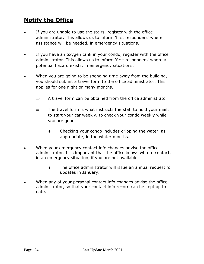# **Notify the Office**

- If you are unable to use the stairs, register with the office administrator. This allows us to inform 'first responders' where assistance will be needed, in emergency situations.
- If you have an oxygen tank in your condo, register with the office administrator. This allows us to inform 'first responders' where a potential hazard exists, in emergency situations.
- When you are going to be spending time away from the building, you should submit a travel form to the office administrator. This applies for one night or many months.
	- $\Rightarrow$  A travel form can be obtained from the office administrator.
	- $\Rightarrow$  The travel form is what instructs the staff to hold your mail, to start your car weekly, to check your condo weekly while you are gone.
		- Checking your condo includes dripping the water, as appropriate, in the winter months.
- When your emergency contact info changes advise the office administrator. It is important that the office knows who to contact, in an emergency situation, if you are not available.
	- The office administrator will issue an annual request for updates in January.
- When any of your personal contact info changes advise the office administrator, so that your contact info record can be kept up to date.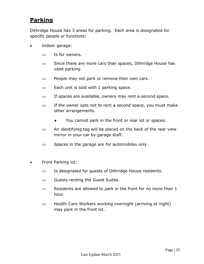#### **Parking**

Dithridge House has 3 areas for parking. Each area is designated for specific people or functions:

- Indoor garage:
	- $\Rightarrow$  Is for owners.
	- $\Rightarrow$  Since there are more cars than spaces, Dithridge House has valet parking.
	- $\Rightarrow$  People may not park or remove their own cars.
	- $\Rightarrow$  Each unit is sold with 1 parking space.
	- $\Rightarrow$  If spaces are available, owners may rent a second space.
	- $\Rightarrow$  If the owner opts not to rent a second space, you must make other arrangements.
		- You cannot park in the front or rear lot or spaces.
	- $\Rightarrow$  An identifying tag will be placed on the back of the rear view mirror in your car by garage staff.
	- $\Rightarrow$  Spaces in the garage are for automobiles only.
- Front Parking lot:
	- $\Rightarrow$  Is designated for guests of Dithridge House residents.
	- $\Rightarrow$  Guests renting the Guest Suites.
	- $\Rightarrow$  Residents are allowed to park in the front for no more than 1 hour.
	- $\Rightarrow$  Health Care Workers working overnight (arriving at night) may park in the front lot.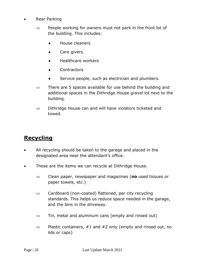- Rear Parking
	- $\Rightarrow$  People working for owners must not park in the front lot of the building. This includes:
		- House cleaners
		- ◆ Care givers.
		- Healthcare workers
		- Contractors
		- Service people, such as electrician and plumbers.
	- $\Rightarrow$  There are 5 spaces available for use behind the building and additional spaces in the Dithridge House gravel lot next to the building.
	- $\Rightarrow$  Dithridge House can and will have violators ticketed and towed.

#### **Recycling**

- All recycling should be taken to the garage and placed in the designated area near the attendant's office.
- These are the items we can recycle at Dithridge House.
	- Clean paper, newspaper and magazines (**no** used tissues or paper towels, etc.)
	- $\Rightarrow$  Cardboard (non-coated) flattened, per city recycling standards. This helps us reduce space needed in the garage, and the bins in the driveway.
	- $\Rightarrow$  Tin, metal and aluminum cans (empty and rinsed out)
	- $\Rightarrow$  Plastic containers, #1 and #2 only (empty and rinsed out, no lids or caps)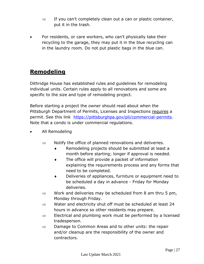- $\Rightarrow$  If you can't completely clean out a can or plastic container, put it in the trash.
- For residents, or care workers, who can't physically take their recycling to the garage, they may put it in the blue recycling can in the laundry room. Do not put plastic bags in the blue can.

### **Remodeling**

Dithridge House has established rules and guidelines for remodeling individual units. Certain rules apply to all renovations and some are specific to the size and type of remodeling project.

Before starting a project the owner should read about when the Pittsburgh Department of Permits, Licenses and Inspections requires a permit. See this link [https://pittsburghpa.gov/pli/commercial-permits.](https://pittsburghpa.gov/pli/commercial-permits) Note that a condo is under commercial regulations.

- All Remodeling
	- $\Rightarrow$  Notify the office of planned renovations and deliveries.
		- Remodeling projects should be submitted at least a month before starting; longer if approval is needed.
		- The office will provide a packet of information explaining the requirements process and any forms that need to be completed.
		- Deliveries of appliances, furniture or equipment need to be scheduled a day in advance - Friday for Monday deliveries.
	- $\Rightarrow$  Work and deliveries may be scheduled from 8 am thru 5 pm, Monday through Friday.
	- $\Rightarrow$  Water and electricity shut off must be scheduled at least 24 hours in advance so other residents may prepare.
	- $\Rightarrow$  Electrical and plumbing work must be performed by a licensed tradesperson.
	- $\Rightarrow$  Damage to Common Areas and to other units: the repair and/or cleanup are the responsibility of the owner and contractors.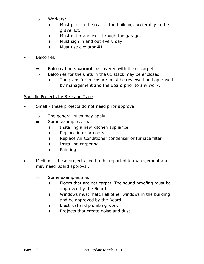- $\Rightarrow$  Workers:
	- Must park in the rear of the building, preferably in the gravel lot.
	- Must enter and exit through the garage.
	- $\bullet$  Must sign in and out every day.
	- Must use elevator #1.
- **Balconies** 
	- $\Rightarrow$  Balcony floors **cannot** be covered with tile or carpet.
	- $\Rightarrow$  Balconies for the units in the 01 stack may be enclosed.
		- The plans for enclosure must be reviewed and approved by management and the Board prior to any work.

#### Specific Projects by Size and Type

- Small these projects do not need prior approval.
	- $\Rightarrow$  The general rules may apply.
	- $\Rightarrow$  Some examples are:
		- Installing a new kitchen appliance
		- ◆ Replace interior doors
		- ◆ Replace Air Conditioner condenser or furnace filter
		- Installing carpeting
		- Painting
- Medium these projects need to be reported to management and may need Board approval.
	- $\Rightarrow$  Some examples are:
		- Floors that are not carpet. The sound proofing must be approved by the Board.
		- Windows must match all other windows in the building and be approved by the Board.
		- Electrical and plumbing work
		- **Projects that create noise and dust.**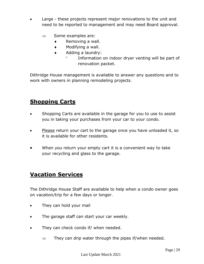- Large these projects represent major renovations to the unit and need to be reported to management and may need Board approval.
	- $\Rightarrow$  Some examples are:
		- $\bullet$  Removing a wall.
		- Modifying a wall.
		- ◆ Adding a laundry:
			- $\degree$  Information on indoor dryer venting will be part of renovation packet.

Dithridge House management is available to answer any questions and to work with owners in planning remodeling projects.

#### **Shopping Carts**

- Shopping Carts are available in the garage for you to use to assist you in taking your purchases from your car to your condo.
- Please return your cart to the garage once you have unloaded it, so it is available for other residents.
- When you return your empty cart it is a convenient way to take your recycling and glass to the garage.

#### **Vacation Services**

The Dithridge House Staff are available to help when a condo owner goes on vacation/trip for a few days or longer.

- They can hold your mail
- The garage staff can start your car weekly.
- They can check condo if/ when needed.
	- $\Rightarrow$  They can drip water through the pipes if/when needed.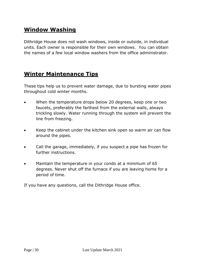### **Window Washing**

Dithridge House does not wash windows, inside or outside, in individual units. Each owner is responsible for their own windows. You can obtain the names of a few local window washers from the office administrator.

#### **Winter Maintenance Tips**

These tips help us to prevent water damage, due to bursting water pipes throughout cold winter months.

- When the temperature drops below 20 degrees, keep one or two faucets, preferably the farthest from the external walls, always trickling slowly. Water running through the system will prevent the line from freezing.
- Keep the cabinet under the kitchen sink open so warm air can flow around the pipes.
- Call the garage, immediately, if you suspect a pipe has frozen for further instructions.
- Maintain the temperature in your condo at a minimum of 65 degrees. Never shut off the furnace if you are leaving home for a period of time.

If you have any questions, call the Dithridge House office.